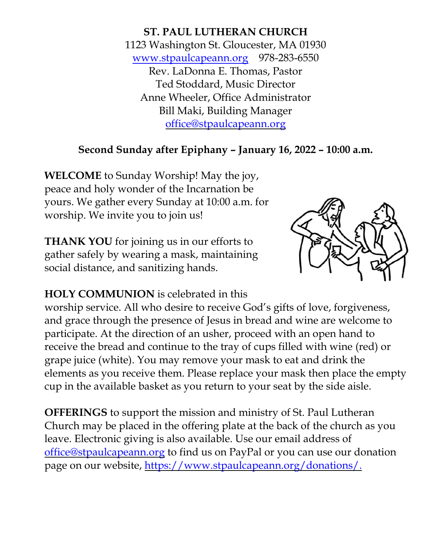**ST. PAUL LUTHERAN CHURCH** 1123 Washington St. Gloucester, MA 01930 [www.stpaulcapeann.org](http://www.stpaulcapeann.org/) 978-283-6550 Rev. LaDonna E. Thomas, Pastor Ted Stoddard, Music Director Anne Wheeler, Office Administrator Bill Maki, Building Manager [office@stpaulcapeann.org](mailto:office@stpaulcapeann.org)

# **Second Sunday after Epiphany – January 16, 2022 – 10:00 a.m.**

**WELCOME** to Sunday Worship! May the joy, peace and holy wonder of the Incarnation be yours. We gather every Sunday at 10:00 a.m. for worship. We invite you to join us!

**THANK YOU** for joining us in our efforts to gather safely by wearing a mask, maintaining social distance, and sanitizing hands.



#### **HOLY COMMUNION** is celebrated in this

worship service. All who desire to receive God's gifts of love, forgiveness, and grace through the presence of Jesus in bread and wine are welcome to participate. At the direction of an usher, proceed with an open hand to receive the bread and continue to the tray of cups filled with wine (red) or grape juice (white). You may remove your mask to eat and drink the elements as you receive them. Please replace your mask then place the empty cup in the available basket as you return to your seat by the side aisle.

**OFFERINGS** to support the mission and ministry of St. Paul Lutheran Church may be placed in the offering plate at the back of the church as you leave. Electronic giving is also available. Use our email address of [office@stpaulcapeann.org](mailto:office@stpaulcapeann.org) to find us on PayPal or you can use our donation page on our website, [https://www.stpaulcapeann.org/donations/.](https://www.stpaulcapeann.org/donations/)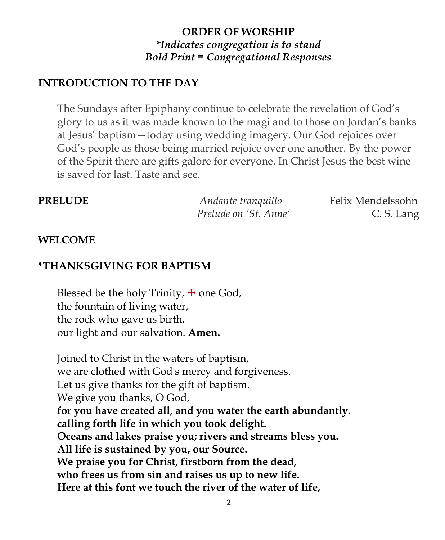# **ORDER OF WORSHIP** *\*Indicates congregation is to stand Bold Print = Congregational Responses*

# **INTRODUCTION TO THE DAY**

The Sundays after Epiphany continue to celebrate the revelation of God's glory to us as it was made known to the magi and to those on Jordan's banks at Jesus' baptism—today using wedding imagery. Our God rejoices over God's people as those being married rejoice over one another. By the power of the Spirit there are gifts galore for everyone. In Christ Jesus the best wine is saved for last. Taste and see.

| <b>PRELUDE</b> | Andante tranquillo    | Felix Mendelssohn |
|----------------|-----------------------|-------------------|
|                | Prelude on 'St. Anne' | C. S. Lang        |

#### **WELCOME**

#### **\*THANKSGIVING FOR BAPTISM**

Blessed be the holy Trinity,  $\pm$  one God, the fountain of living water, the rock who gave us birth, our light and our salvation. **Amen.**

Joined to Christ in the waters of baptism, we are clothed with God's mercy and forgiveness. Let us give thanks for the gift of baptism. We give you thanks, O God, **for you have created all, and you water the earth abundantly. calling forth life in which you took delight. Oceans and lakes praise you; rivers and streams bless you. All life is sustained by you, our Source. We praise you for Christ, firstborn from the dead, who frees us from sin and raises us up to new life. Here at this font we touch the river of the water of life,**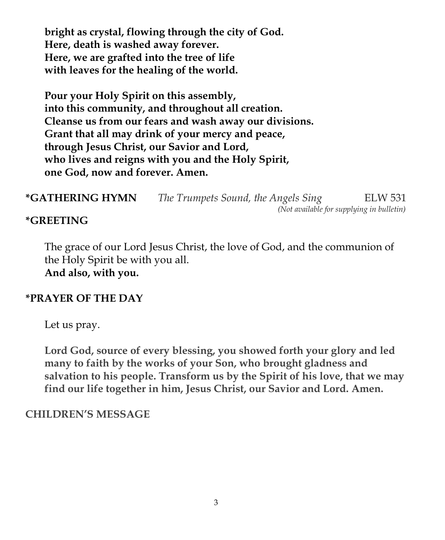**bright as crystal, flowing through the city of God. Here, death is washed away forever. Here, we are grafted into the tree of life with leaves for the healing of the world.**

**Pour your Holy Spirit on this assembly, into this community, and throughout all creation. Cleanse us from our fears and wash away our divisions. Grant that all may drink of your mercy and peace, through Jesus Christ, our Savior and Lord, who lives and reigns with you and the Holy Spirit, one God, now and forever. Amen.**

**\*GATHERING HYMN** *The Trumpets Sound, the Angels Sing* ELW 531  *(Not available for supplying in bulletin)*

#### **\*GREETING**

The grace of our Lord Jesus Christ, the love of God, and the communion of the Holy Spirit be with you all. **And also, with you.**

#### **\*PRAYER OF THE DAY**

Let us pray.

**Lord God, source of every blessing, you showed forth your glory and led many to faith by the works of your Son, who brought gladness and salvation to his people. Transform us by the Spirit of his love, that we may find our life together in him, Jesus Christ, our Savior and Lord. Amen.**

#### **CHILDREN'S MESSAGE**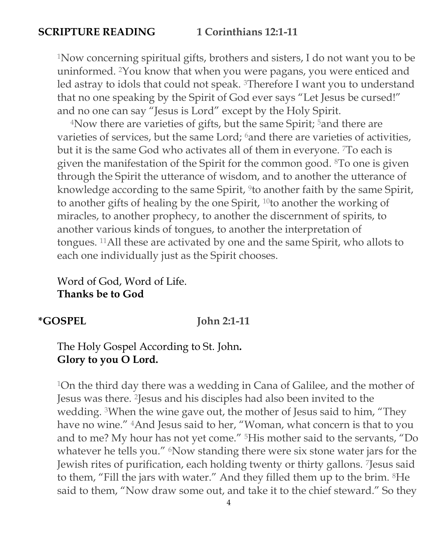# **SCRIPTURE READING 1 Corinthians 12:1-11**

<sup>1</sup>Now concerning spiritual gifts, brothers and sisters, I do not want you to be uninformed. <sup>2</sup>You know that when you were pagans, you were enticed and led astray to idols that could not speak. <sup>3</sup>Therefore I want you to understand that no one speaking by the Spirit of God ever says "Let Jesus be cursed!" and no one can say "Jesus is Lord" except by the Holy Spirit.

<sup>4</sup>Now there are varieties of gifts, but the same Spirit; <sup>5</sup>and there are varieties of services, but the same Lord; <sup>6</sup>and there are varieties of activities, but it is the same God who activates all of them in everyone. <sup>7</sup>To each is given the manifestation of the Spirit for the common good. <sup>8</sup>To one is given through the Spirit the utterance of wisdom, and to another the utterance of knowledge according to the same Spirit, <sup>9</sup>to another faith by the same Spirit, to another gifts of healing by the one Spirit, <sup>10</sup>to another the working of miracles, to another prophecy, to another the discernment of spirits, to another various kinds of tongues, to another the interpretation of tongues. <sup>11</sup>All these are activated by one and the same Spirit, who allots to each one individually just as the Spirit chooses.

Word of God, Word of Life. **Thanks be to God**

#### **\*GOSPEL John 2:1-11**

## The Holy Gospel According to St. John**. Glory to you O Lord.**

<sup>1</sup>On the third day there was a wedding in Cana of Galilee, and the mother of Jesus was there. <sup>2</sup>Jesus and his disciples had also been invited to the wedding. <sup>3</sup>When the wine gave out, the mother of Jesus said to him, "They have no wine." <sup>4</sup>And Jesus said to her, "Woman, what concern is that to you and to me? My hour has not yet come." <sup>5</sup>His mother said to the servants, "Do whatever he tells you." <sup>6</sup>Now standing there were six stone water jars for the Jewish rites of purification, each holding twenty or thirty gallons. <sup>7</sup>Jesus said to them, "Fill the jars with water." And they filled them up to the brim. <sup>8</sup>He said to them, "Now draw some out, and take it to the chief steward." So they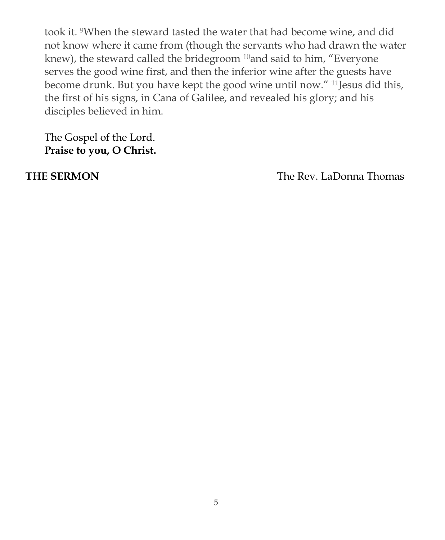took it. <sup>9</sup>When the steward tasted the water that had become wine, and did not know where it came from (though the servants who had drawn the water knew), the steward called the bridegroom <sup>10</sup>and said to him, "Everyone serves the good wine first, and then the inferior wine after the guests have become drunk. But you have kept the good wine until now." <sup>11</sup>Jesus did this, the first of his signs, in Cana of Galilee, and revealed his glory; and his disciples believed in him.

The Gospel of the Lord. **Praise to you, O Christ.**

**THE SERMON** The Rev. LaDonna Thomas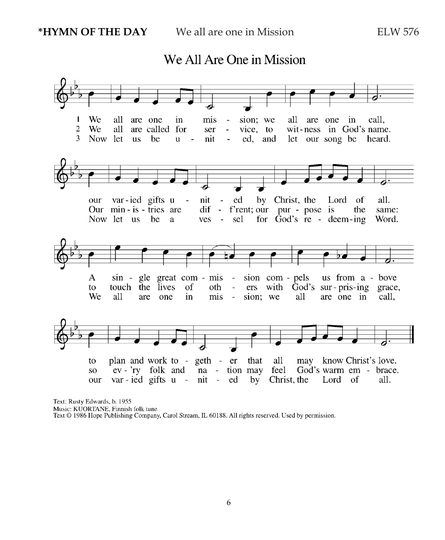We  $\mathbf{1}$ all are one mis sion; we all call. in  $\blacksquare$ are one in  $\overline{2}$ We all are called for vice, to wit-ness in God's name. ser  $\bar{\phantom{a}}$ 3 Now let **us** he ed. and let our song be heard.  $\mathbf u$ nit  $\sim$  $\overline{\phantom{a}}$ by Christ, the var-ied gifts u our nit ed Lord of all.  $\Box$ Our min-is-tries are  $dif - f'rent$ ; our pur - pose is the same: Now let us be a  $ves$ sel for  $\overline{G}$  od's re - deem-ing Word. A sin - gle great com - mis - sion com - pels us from a - bove  $\sim$ to touch the lives of oth ers with God's sur-pris-ing grace, We all sion: we call, are one in mis  $\sim$   $$ all are one in plan and work to - geth - er that all may know Christ's love. to ev - 'ry folk and na - tion may feel God's warm em - brace. **SO** var-ied gifts u - nit - ed Christ, the our  $by$ Lord of all.

We All Are One in Mission

Text: Rusty Edwards, b. 1955 Music: KUORTANE, Finnish folk tune Text © 1986 Hope Publishing Company, Carol Stream, IL 60188. All rights reserved. Used by permission.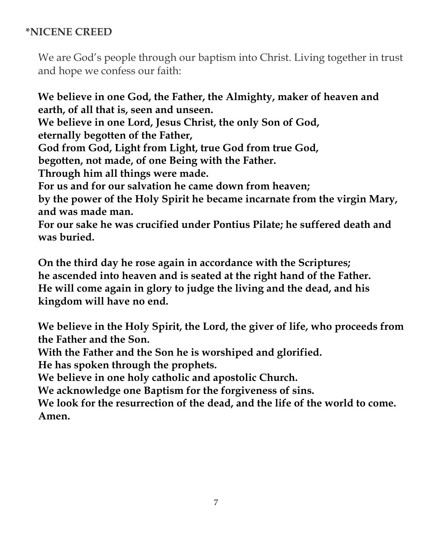# **\*NICENE CREED**

We are God's people through our baptism into Christ. Living together in trust and hope we confess our faith:

**We believe in one God, the Father, the Almighty, maker of heaven and earth, of all that is, seen and unseen. We believe in one Lord, Jesus Christ, the only Son of God, eternally begotten of the Father, God from God, Light from Light, true God from true God, begotten, not made, of one Being with the Father. Through him all things were made. For us and for our salvation he came down from heaven; by the power of the Holy Spirit he became incarnate from the virgin Mary, and was made man. For our sake he was crucified under Pontius Pilate; he suffered death and**

**was buried.**

**On the third day he rose again in accordance with the Scriptures; he ascended into heaven and is seated at the right hand of the Father. He will come again in glory to judge the living and the dead, and his kingdom will have no end.**

**We believe in the Holy Spirit, the Lord, the giver of life, who proceeds from the Father and the Son.**

**With the Father and the Son he is worshiped and glorified.**

**He has spoken through the prophets.**

**We believe in one holy catholic and apostolic Church.**

**We acknowledge one Baptism for the forgiveness of sins.**

**We look for the resurrection of the dead, and the life of the world to come. Amen.**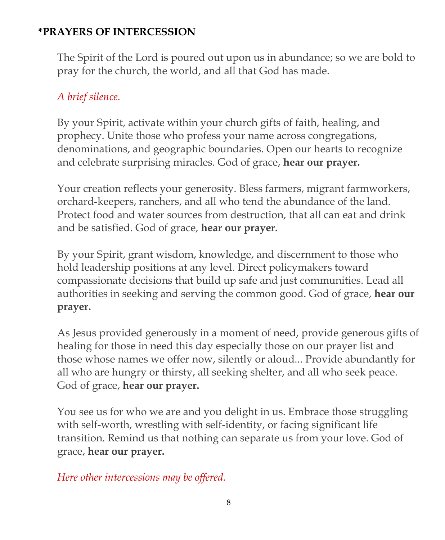# **\*PRAYERS OF INTERCESSION**

The Spirit of the Lord is poured out upon us in abundance; so we are bold to pray for the church, the world, and all that God has made.

# *A brief silence.*

By your Spirit, activate within your church gifts of faith, healing, and prophecy. Unite those who profess your name across congregations, denominations, and geographic boundaries. Open our hearts to recognize and celebrate surprising miracles. God of grace, **hear our prayer.**

Your creation reflects your generosity. Bless farmers, migrant farmworkers, orchard-keepers, ranchers, and all who tend the abundance of the land. Protect food and water sources from destruction, that all can eat and drink and be satisfied. God of grace, **hear our prayer.**

By your Spirit, grant wisdom, knowledge, and discernment to those who hold leadership positions at any level. Direct policymakers toward compassionate decisions that build up safe and just communities. Lead all authorities in seeking and serving the common good. God of grace, **hear our prayer.**

As Jesus provided generously in a moment of need, provide generous gifts of healing for those in need this day especially those on our prayer list and those whose names we offer now, silently or aloud... Provide abundantly for all who are hungry or thirsty, all seeking shelter, and all who seek peace. God of grace, **hear our prayer.**

You see us for who we are and you delight in us. Embrace those struggling with self-worth, wrestling with self-identity, or facing significant life transition. Remind us that nothing can separate us from your love. God of grace, **hear our prayer.**

## *Here other intercessions may be offered.*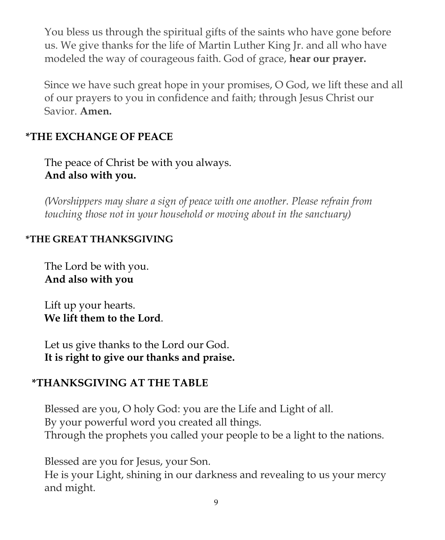You bless us through the spiritual gifts of the saints who have gone before us. We give thanks for the life of Martin Luther King Jr. and all who have modeled the way of courageous faith. God of grace, **hear our prayer.**

Since we have such great hope in your promises, O God, we lift these and all of our prayers to you in confidence and faith; through Jesus Christ our Savior. **Amen.**

# **\*THE EXCHANGE OF PEACE**

The peace of Christ be with you always. **And also with you.**

*(Worshippers may share a sign of peace with one another. Please refrain from touching those not in your household or moving about in the sanctuary)*

# **\*THE GREAT THANKSGIVING**

The Lord be with you. **And also with you**

Lift up your hearts. **We lift them to the Lord**.

Let us give thanks to the Lord our God. **It is right to give our thanks and praise.**

## **\*THANKSGIVING AT THE TABLE**

Blessed are you, O holy God: you are the Life and Light of all. By your powerful word you created all things. Through the prophets you called your people to be a light to the nations.

Blessed are you for Jesus, your Son.

He is your Light, shining in our darkness and revealing to us your mercy and might.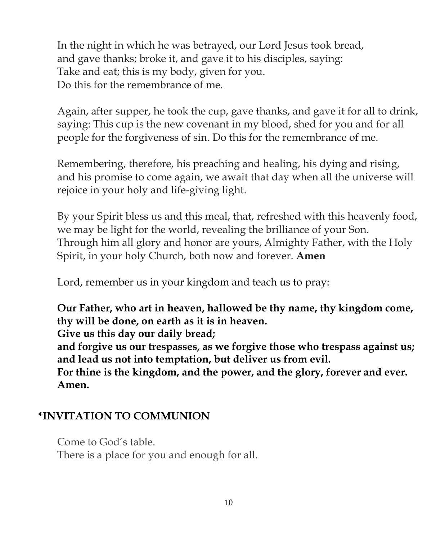In the night in which he was betrayed, our Lord Jesus took bread, and gave thanks; broke it, and gave it to his disciples, saying: Take and eat; this is my body, given for you. Do this for the remembrance of me.

Again, after supper, he took the cup, gave thanks, and gave it for all to drink, saying: This cup is the new covenant in my blood, shed for you and for all people for the forgiveness of sin. Do this for the remembrance of me.

Remembering, therefore, his preaching and healing, his dying and rising, and his promise to come again, we await that day when all the universe will rejoice in your holy and life-giving light.

By your Spirit bless us and this meal, that, refreshed with this heavenly food, we may be light for the world, revealing the brilliance of your Son. Through him all glory and honor are yours, Almighty Father, with the Holy Spirit, in your holy Church, both now and forever. **Amen**

Lord, remember us in your kingdom and teach us to pray:

**Our Father, who art in heaven, hallowed be thy name, thy kingdom come, thy will be done, on earth as it is in heaven.**

**Give us this day our daily bread;**

**and forgive us our trespasses, as we forgive those who trespass against us; and lead us not into temptation, but deliver us from evil.**

**For thine is the kingdom, and the power, and the glory, forever and ever. Amen.**

## **\*INVITATION TO COMMUNION**

Come to God's table. There is a place for you and enough for all.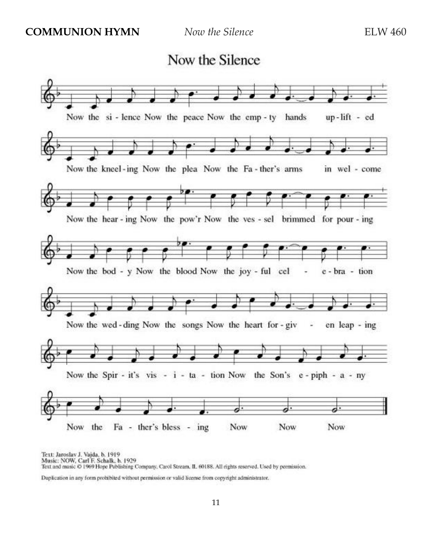



Text: Jaroslav J. Vajda, b. 1919<br>Music: NOW, Carl F. Schalk, b. 1929 Text and music @ 1969 Hope Publishing Company, Carol Stream, IL 60188. All rights reserved. Used by permission.

Duplication in any form prohibited without permission or valid license from copyright administrator.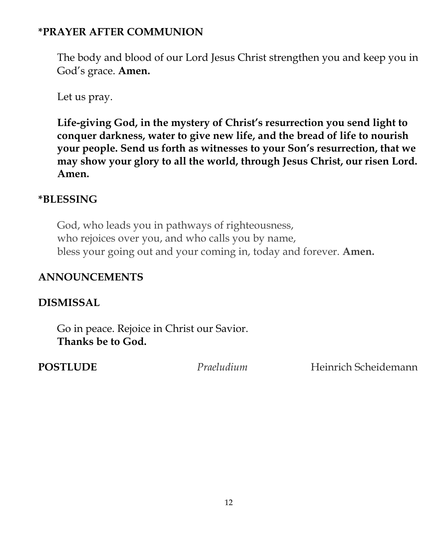# **\*PRAYER AFTER COMMUNION**

The body and blood of our Lord Jesus Christ strengthen you and keep you in God's grace. **Amen.**

Let us pray.

**Life-giving God, in the mystery of Christ's resurrection you send light to conquer darkness, water to give new life, and the bread of life to nourish your people. Send us forth as witnesses to your Son's resurrection, that we may show your glory to all the world, through Jesus Christ, our risen Lord. Amen.**

## **\*BLESSING**

God, who leads you in pathways of righteousness, who rejoices over you, and who calls you by name, bless your going out and your coming in, today and forever. **Amen.**

## **ANNOUNCEMENTS**

# **DISMISSAL**

Go in peace. Rejoice in Christ our Savior. **Thanks be to God.**

**POSTLUDE** *Praeludium* Heinrich Scheidemann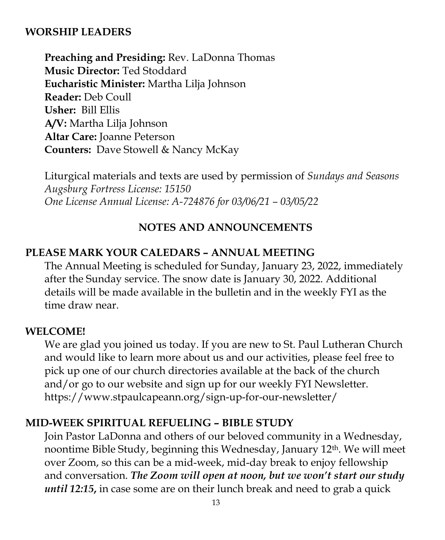#### **WORSHIP LEADERS**

**Preaching and Presiding:** Rev. LaDonna Thomas **Music Director:** Ted Stoddard **Eucharistic Minister:** Martha Lilja Johnson **Reader:** Deb Coull **Usher:** Bill Ellis **A/V:** Martha Lilja Johnson **Altar Care:** Joanne Peterson **Counters:** Dave Stowell & Nancy McKay

Liturgical materials and texts are used by permission of *Sundays and Seasons Augsburg Fortress License: 15150 One License Annual License: A-724876 for 03/06/21 – 03/05/22*

#### **NOTES AND ANNOUNCEMENTS**

#### **PLEASE MARK YOUR CALEDARS – ANNUAL MEETING**

The Annual Meeting is scheduled for Sunday, January 23, 2022, immediately after the Sunday service. The snow date is January 30, 2022. Additional details will be made available in the bulletin and in the weekly FYI as the time draw near.

#### **WELCOME!**

We are glad you joined us today. If you are new to St. Paul Lutheran Church and would like to learn more about us and our activities, please feel free to pick up one of our church directories available at the back of the church and/or go to our website and sign up for our weekly FYI Newsletter. https://www.stpaulcapeann.org/sign-up-for-our-newsletter/

#### **MID-WEEK SPIRITUAL REFUELING – BIBLE STUDY**

Join Pastor LaDonna and others of our beloved community in a Wednesday, noontime Bible Study, beginning this Wednesday, January 12th. We will meet over Zoom, so this can be a mid-week, mid-day break to enjoy fellowship and conversation. *The Zoom will open at noon, but we won't start our study until 12:15***,** in case some are on their lunch break and need to grab a quick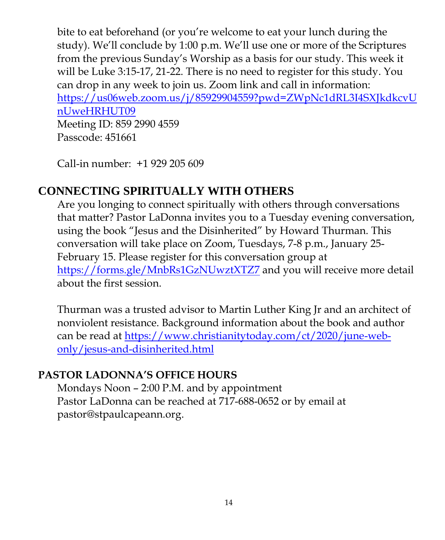bite to eat beforehand (or you're welcome to eat your lunch during the study). We'll conclude by 1:00 p.m. We'll use one or more of the Scriptures from the previous Sunday's Worship as a basis for our study. This week it will be Luke 3:15-17, 21-22. There is no need to register for this study. You can drop in any week to join us. Zoom link and call in information: [https://us06web.zoom.us/j/85929904559?pwd=ZWpNc1dRL3I4SXJkdkcvU](https://us06web.zoom.us/j/85929904559?pwd=ZWpNc1dRL3I4SXJkdkcvUnUweHRHUT09) [nUweHRHUT09](https://us06web.zoom.us/j/85929904559?pwd=ZWpNc1dRL3I4SXJkdkcvUnUweHRHUT09) Meeting ID: 859 2990 4559 Passcode: 451661

Call-in number: +1 929 205 609

# **CONNECTING SPIRITUALLY WITH OTHERS**

Are you longing to connect spiritually with others through conversations that matter? Pastor LaDonna invites you to a Tuesday evening conversation, using the book "Jesus and the Disinherited" by Howard Thurman. This conversation will take place on Zoom, Tuesdays, 7-8 p.m., January 25- February 15. Please register for this conversation group at https://forms.gle/MnbRs1GzNUwztXTZ7 and you will receive more detail about the first session.

Thurman was a trusted advisor to Martin Luther King Jr and an architect of nonviolent resistance. Background information about the book and author can be read at [https://www.christianitytoday.com/ct/2020/june-web](https://www.christianitytoday.com/ct/2020/june-web-only/jesus-and-disinherited.html)[only/jesus-and-disinherited.html](https://www.christianitytoday.com/ct/2020/june-web-only/jesus-and-disinherited.html)

# **PASTOR LADONNA'S OFFICE HOURS**

Mondays Noon – 2:00 P.M. and by appointment Pastor LaDonna can be reached at 717-688-0652 or by email at pastor@stpaulcapeann.org.